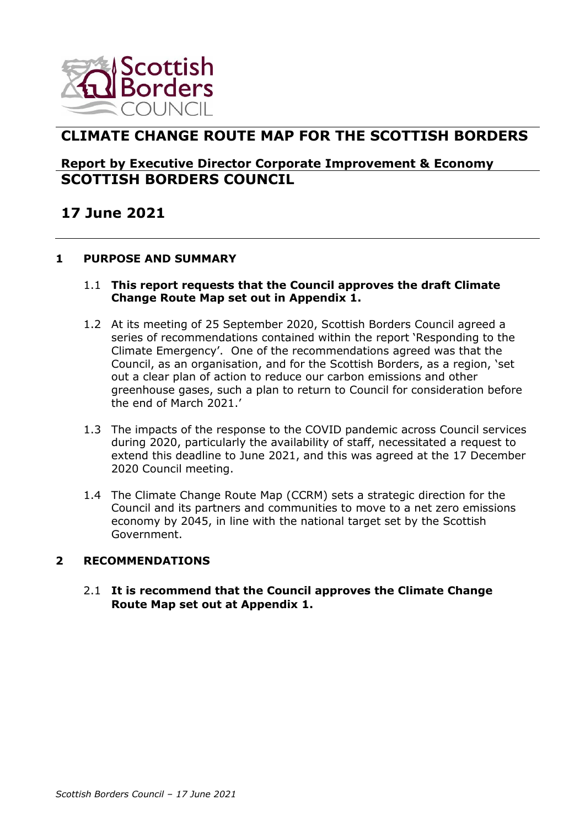

## **CLIMATE CHANGE ROUTE MAP FOR THE SCOTTISH BORDERS**

## **Report by Executive Director Corporate Improvement & Economy SCOTTISH BORDERS COUNCIL**

# **17 June 2021**

## **1 PURPOSE AND SUMMARY**

#### 1.1 **This report requests that the Council approves the draft Climate Change Route Map set out in Appendix 1.**

- 1.2 At its meeting of 25 September 2020, Scottish Borders Council agreed a series of recommendations contained within the report 'Responding to the Climate Emergency'. One of the recommendations agreed was that the Council, as an organisation, and for the Scottish Borders, as a region, 'set out a clear plan of action to reduce our carbon emissions and other greenhouse gases, such a plan to return to Council for consideration before the end of March 2021.'
- 1.3 The impacts of the response to the COVID pandemic across Council services during 2020, particularly the availability of staff, necessitated a request to extend this deadline to June 2021, and this was agreed at the 17 December 2020 Council meeting.
- 1.4 The Climate Change Route Map (CCRM) sets a strategic direction for the Council and its partners and communities to move to a net zero emissions economy by 2045, in line with the national target set by the Scottish Government.

#### **2 RECOMMENDATIONS**

2.1 **It is recommend that the Council approves the Climate Change Route Map set out at Appendix 1.**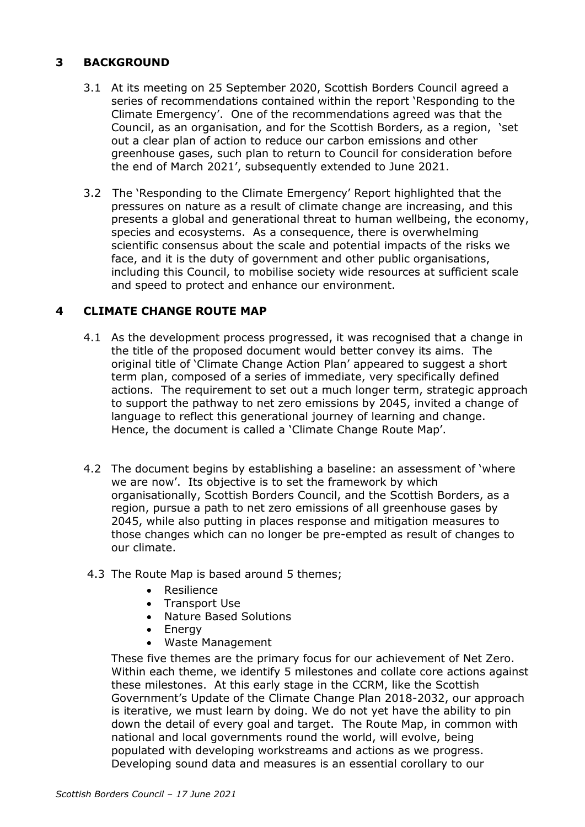## **3 BACKGROUND**

- 3.1 At its meeting on 25 September 2020, Scottish Borders Council agreed a series of recommendations contained within the report 'Responding to the Climate Emergency'. One of the recommendations agreed was that the Council, as an organisation, and for the Scottish Borders, as a region, 'set out a clear plan of action to reduce our carbon emissions and other greenhouse gases, such plan to return to Council for consideration before the end of March 2021', subsequently extended to June 2021.
- 3.2 The 'Responding to the Climate Emergency' Report highlighted that the pressures on nature as a result of climate change are increasing, and this presents a global and generational threat to human wellbeing, the economy, species and ecosystems. As a consequence, there is overwhelming scientific consensus about the scale and potential impacts of the risks we face, and it is the duty of government and other public organisations, including this Council, to mobilise society wide resources at sufficient scale and speed to protect and enhance our environment.

## **4 CLIMATE CHANGE ROUTE MAP**

- 4.1 As the development process progressed, it was recognised that a change in the title of the proposed document would better convey its aims. The original title of 'Climate Change Action Plan' appeared to suggest a short term plan, composed of a series of immediate, very specifically defined actions. The requirement to set out a much longer term, strategic approach to support the pathway to net zero emissions by 2045, invited a change of language to reflect this generational journey of learning and change. Hence, the document is called a 'Climate Change Route Map'.
- 4.2 The document begins by establishing a baseline: an assessment of 'where we are now'. Its objective is to set the framework by which organisationally, Scottish Borders Council, and the Scottish Borders, as a region, pursue a path to net zero emissions of all greenhouse gases by 2045, while also putting in places response and mitigation measures to those changes which can no longer be pre-empted as result of changes to our climate.
- 4.3 The Route Map is based around 5 themes;
	- Resilience
	- Transport Use
	- Nature Based Solutions
	- Energy
	- Waste Management

These five themes are the primary focus for our achievement of Net Zero. Within each theme, we identify 5 milestones and collate core actions against these milestones. At this early stage in the CCRM, like the Scottish Government's Update of the Climate Change Plan 2018-2032, our approach is iterative, we must learn by doing. We do not yet have the ability to pin down the detail of every goal and target. The Route Map, in common with national and local governments round the world, will evolve, being populated with developing workstreams and actions as we progress. Developing sound data and measures is an essential corollary to our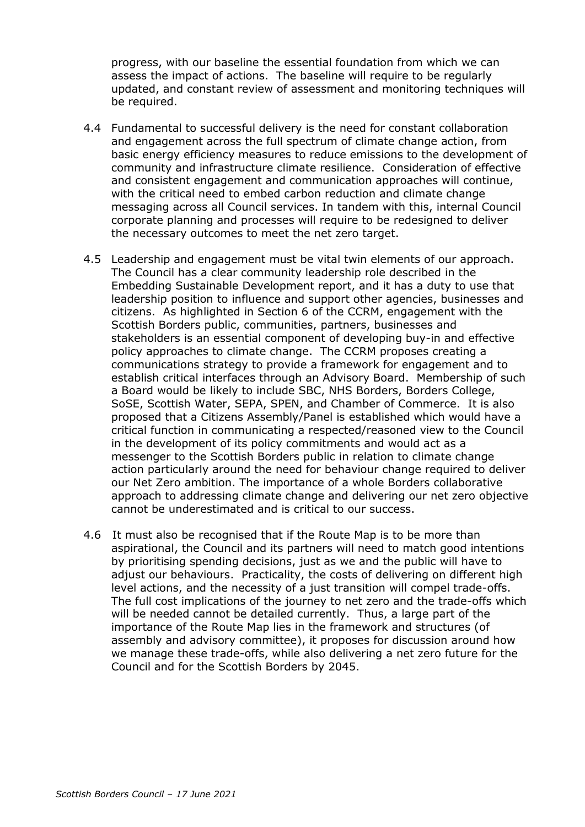progress, with our baseline the essential foundation from which we can assess the impact of actions. The baseline will require to be regularly updated, and constant review of assessment and monitoring techniques will be required.

- 4.4 Fundamental to successful delivery is the need for constant collaboration and engagement across the full spectrum of climate change action, from basic energy efficiency measures to reduce emissions to the development of community and infrastructure climate resilience. Consideration of effective and consistent engagement and communication approaches will continue, with the critical need to embed carbon reduction and climate change messaging across all Council services. In tandem with this, internal Council corporate planning and processes will require to be redesigned to deliver the necessary outcomes to meet the net zero target.
- 4.5 Leadership and engagement must be vital twin elements of our approach. The Council has a clear community leadership role described in the Embedding Sustainable Development report, and it has a duty to use that leadership position to influence and support other agencies, businesses and citizens. As highlighted in Section 6 of the CCRM, engagement with the Scottish Borders public, communities, partners, businesses and stakeholders is an essential component of developing buy-in and effective policy approaches to climate change. The CCRM proposes creating a communications strategy to provide a framework for engagement and to establish critical interfaces through an Advisory Board. Membership of such a Board would be likely to include SBC, NHS Borders, Borders College, SoSE, Scottish Water, SEPA, SPEN, and Chamber of Commerce. It is also proposed that a Citizens Assembly/Panel is established which would have a critical function in communicating a respected/reasoned view to the Council in the development of its policy commitments and would act as a messenger to the Scottish Borders public in relation to climate change action particularly around the need for behaviour change required to deliver our Net Zero ambition. The importance of a whole Borders collaborative approach to addressing climate change and delivering our net zero objective cannot be underestimated and is critical to our success.
- 4.6 It must also be recognised that if the Route Map is to be more than aspirational, the Council and its partners will need to match good intentions by prioritising spending decisions, just as we and the public will have to adjust our behaviours. Practicality, the costs of delivering on different high level actions, and the necessity of a just transition will compel trade-offs. The full cost implications of the journey to net zero and the trade-offs which will be needed cannot be detailed currently. Thus, a large part of the importance of the Route Map lies in the framework and structures (of assembly and advisory committee), it proposes for discussion around how we manage these trade-offs, while also delivering a net zero future for the Council and for the Scottish Borders by 2045.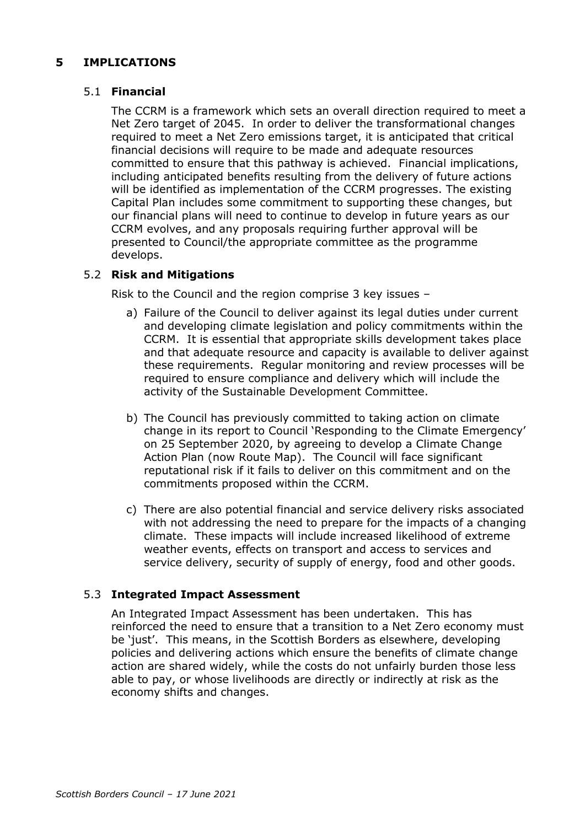## **5 IMPLICATIONS**

#### 5.1 **Financial**

The CCRM is a framework which sets an overall direction required to meet a Net Zero target of 2045. In order to deliver the transformational changes required to meet a Net Zero emissions target, it is anticipated that critical financial decisions will require to be made and adequate resources committed to ensure that this pathway is achieved. Financial implications, including anticipated benefits resulting from the delivery of future actions will be identified as implementation of the CCRM progresses. The existing Capital Plan includes some commitment to supporting these changes, but our financial plans will need to continue to develop in future years as our CCRM evolves, and any proposals requiring further approval will be presented to Council/the appropriate committee as the programme develops.

#### 5.2 **Risk and Mitigations**

Risk to the Council and the region comprise 3 key issues –

- a) Failure of the Council to deliver against its legal duties under current and developing climate legislation and policy commitments within the CCRM. It is essential that appropriate skills development takes place and that adequate resource and capacity is available to deliver against these requirements. Regular monitoring and review processes will be required to ensure compliance and delivery which will include the activity of the Sustainable Development Committee.
- b) The Council has previously committed to taking action on climate change in its report to Council 'Responding to the Climate Emergency' on 25 September 2020, by agreeing to develop a Climate Change Action Plan (now Route Map). The Council will face significant reputational risk if it fails to deliver on this commitment and on the commitments proposed within the CCRM.
- c) There are also potential financial and service delivery risks associated with not addressing the need to prepare for the impacts of a changing climate. These impacts will include increased likelihood of extreme weather events, effects on transport and access to services and service delivery, security of supply of energy, food and other goods.

#### 5.3 **Integrated Impact Assessment**

An Integrated Impact Assessment has been undertaken. This has reinforced the need to ensure that a transition to a Net Zero economy must be 'just'. This means, in the Scottish Borders as elsewhere, developing policies and delivering actions which ensure the benefits of climate change action are shared widely, while the costs do not unfairly burden those less able to pay, or whose livelihoods are directly or indirectly at risk as the economy shifts and changes.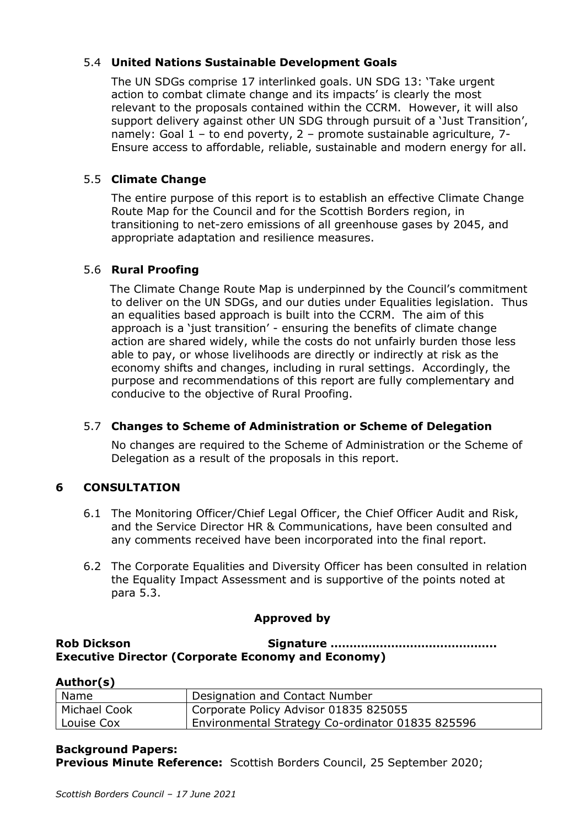## 5.4 **United Nations Sustainable Development Goals**

The UN SDGs comprise 17 interlinked goals. UN SDG 13: 'Take urgent action to combat climate change and its impacts' is clearly the most relevant to the proposals contained within the CCRM. However, it will also support delivery against other UN SDG through pursuit of a 'Just Transition', namely: Goal 1 – to end poverty, 2 – promote sustainable agriculture, 7- Ensure access to affordable, reliable, sustainable and modern energy for all.

## 5.5 **Climate Change**

The entire purpose of this report is to establish an effective Climate Change Route Map for the Council and for the Scottish Borders region, in transitioning to net-zero emissions of all greenhouse gases by 2045, and appropriate adaptation and resilience measures.

## 5.6 **Rural Proofing**

 The Climate Change Route Map is underpinned by the Council's commitment to deliver on the UN SDGs, and our duties under Equalities legislation. Thus an equalities based approach is built into the CCRM. The aim of this approach is a 'just transition' - ensuring the benefits of climate change action are shared widely, while the costs do not unfairly burden those less able to pay, or whose livelihoods are directly or indirectly at risk as the economy shifts and changes, including in rural settings. Accordingly, the purpose and recommendations of this report are fully complementary and conducive to the objective of Rural Proofing.

#### 5.7 **Changes to Scheme of Administration or Scheme of Delegation**

No changes are required to the Scheme of Administration or the Scheme of Delegation as a result of the proposals in this report.

## **6 CONSULTATION**

- 6.1 The Monitoring Officer/Chief Legal Officer, the Chief Officer Audit and Risk, and the Service Director HR & Communications, have been consulted and any comments received have been incorporated into the final report.
- 6.2 The Corporate Equalities and Diversity Officer has been consulted in relation the Equality Impact Assessment and is supportive of the points noted at para 5.3.

#### **Approved by**

**Rob Dickson Signature …………………………………….. Executive Director (Corporate Economy and Economy)**

| Author(s)           |                                                  |
|---------------------|--------------------------------------------------|
| Name                | Designation and Contact Number                   |
| <b>Michael Cook</b> | Corporate Policy Advisor 01835 825055            |
| Louise Cox          | Environmental Strategy Co-ordinator 01835 825596 |

#### **Background Papers:**

**Previous Minute Reference:** Scottish Borders Council, 25 September 2020;